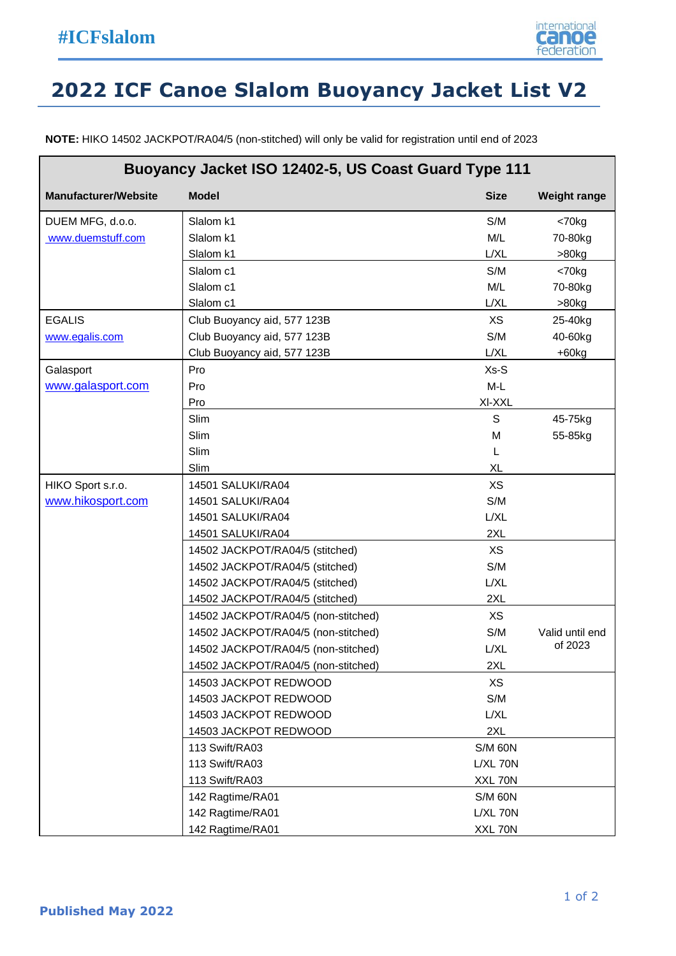

## **2022 ICF Canoe Slalom Buoyancy Jacket List V2**

**NOTE:** HIKO 14502 JACKPOT/RA04/5 (non-stitched) will only be valid for registration until end of 2023

| Buoyancy Jacket ISO 12402-5, US Coast Guard Type 111 |                                     |                |                     |  |  |
|------------------------------------------------------|-------------------------------------|----------------|---------------------|--|--|
| <b>Manufacturer/Website</b>                          | <b>Model</b>                        | <b>Size</b>    | <b>Weight range</b> |  |  |
| DUEM MFG, d.o.o.                                     | Slalom k1                           | S/M            | $< 70$ kg           |  |  |
| www.duemstuff.com                                    | Slalom k1                           | M/L            | 70-80kg             |  |  |
|                                                      | Slalom k1                           | L/XL           | $>80$ kg            |  |  |
|                                                      | Slalom c1                           | S/M            | $< 70$ kg           |  |  |
|                                                      | Slalom c1                           | M/L            | 70-80kg             |  |  |
|                                                      | Slalom c1                           | L/XL           | >80kg               |  |  |
| <b>EGALIS</b>                                        | Club Buoyancy aid, 577 123B         | <b>XS</b>      | 25-40kg             |  |  |
| www.egalis.com                                       | Club Buoyancy aid, 577 123B         | S/M            | 40-60kg             |  |  |
|                                                      | Club Buoyancy aid, 577 123B         | L/XL           | $+60kg$             |  |  |
| Galasport                                            | Pro                                 | $Xs-S$         |                     |  |  |
| www.galasport.com                                    | Pro                                 | $M-L$          |                     |  |  |
|                                                      | Pro                                 | XI-XXL         |                     |  |  |
|                                                      | Slim                                | $\mathsf S$    | 45-75kg             |  |  |
|                                                      | Slim                                | M              | 55-85kg             |  |  |
|                                                      | Slim                                | L              |                     |  |  |
|                                                      | Slim                                | <b>XL</b>      |                     |  |  |
| HIKO Sport s.r.o.                                    | 14501 SALUKI/RA04                   | <b>XS</b>      |                     |  |  |
| www.hikosport.com                                    | 14501 SALUKI/RA04                   | S/M            |                     |  |  |
|                                                      | 14501 SALUKI/RA04                   | L/XL           |                     |  |  |
|                                                      | 14501 SALUKI/RA04                   | 2XL            |                     |  |  |
|                                                      | 14502 JACKPOT/RA04/5 (stitched)     | <b>XS</b>      |                     |  |  |
|                                                      | 14502 JACKPOT/RA04/5 (stitched)     | S/M            |                     |  |  |
|                                                      | 14502 JACKPOT/RA04/5 (stitched)     | L/XL           |                     |  |  |
|                                                      | 14502 JACKPOT/RA04/5 (stitched)     | 2XL            |                     |  |  |
|                                                      | 14502 JACKPOT/RA04/5 (non-stitched) | <b>XS</b>      |                     |  |  |
|                                                      | 14502 JACKPOT/RA04/5 (non-stitched) | S/M            | Valid until end     |  |  |
|                                                      | 14502 JACKPOT/RA04/5 (non-stitched) | L/XL           | of 2023             |  |  |
|                                                      | 14502 JACKPOT/RA04/5 (non-stitched) | 2XL            |                     |  |  |
|                                                      | 14503 JACKPOT REDWOOD               | <b>XS</b>      |                     |  |  |
|                                                      | 14503 JACKPOT REDWOOD               | S/M            |                     |  |  |
|                                                      | 14503 JACKPOT REDWOOD               | L/XL           |                     |  |  |
|                                                      | 14503 JACKPOT REDWOOD               | 2XL            |                     |  |  |
|                                                      | 113 Swift/RA03                      | <b>S/M 60N</b> |                     |  |  |
|                                                      | 113 Swift/RA03                      | $L/XL$ 70 $N$  |                     |  |  |
|                                                      | 113 Swift/RA03                      | XXL 70N        |                     |  |  |
|                                                      | 142 Ragtime/RA01                    | <b>S/M 60N</b> |                     |  |  |
|                                                      | 142 Ragtime/RA01                    | $L/XL$ 70 $N$  |                     |  |  |
|                                                      | 142 Ragtime/RA01                    | XXL 70N        |                     |  |  |